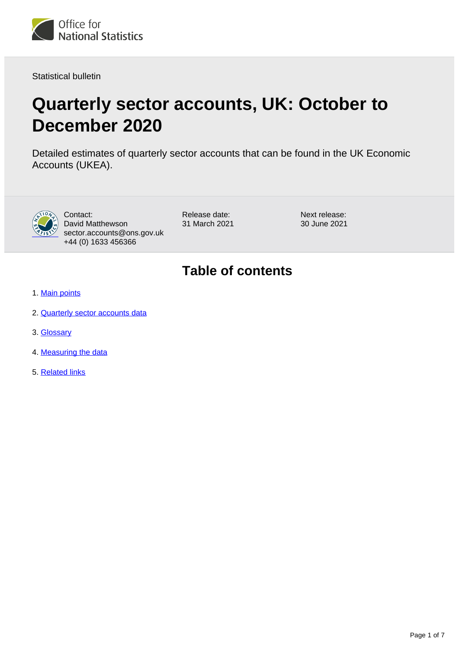

Statistical bulletin

# **Quarterly sector accounts, UK: October to December 2020**

Detailed estimates of quarterly sector accounts that can be found in the UK Economic Accounts (UKEA).



Contact: David Matthewson sector.accounts@ons.gov.uk +44 (0) 1633 456366

Release date: 31 March 2021 Next release: 30 June 2021

## **Table of contents**

- 1. [Main points](#page-1-0)
- 2. [Quarterly sector accounts data](#page-2-0)
- 3. [Glossary](#page-4-0)
- 4. [Measuring the data](#page-4-1)
- 5. [Related links](#page-6-0)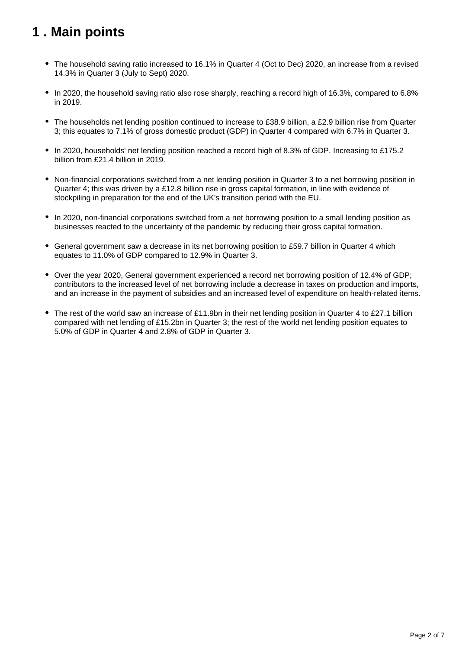## <span id="page-1-0"></span>**1 . Main points**

- The household saving ratio increased to 16.1% in Quarter 4 (Oct to Dec) 2020, an increase from a revised 14.3% in Quarter 3 (July to Sept) 2020.
- In 2020, the household saving ratio also rose sharply, reaching a record high of 16.3%, compared to 6.8% in 2019.
- The households net lending position continued to increase to £38.9 billion, a £2.9 billion rise from Quarter 3; this equates to 7.1% of gross domestic product (GDP) in Quarter 4 compared with 6.7% in Quarter 3.
- In 2020, households' net lending position reached a record high of 8.3% of GDP. Increasing to £175.2 billion from £21.4 billion in 2019.
- Non-financial corporations switched from a net lending position in Quarter 3 to a net borrowing position in Quarter 4; this was driven by a £12.8 billion rise in gross capital formation, in line with evidence of stockpiling in preparation for the end of the UK's transition period with the EU.
- In 2020, non-financial corporations switched from a net borrowing position to a small lending position as businesses reacted to the uncertainty of the pandemic by reducing their gross capital formation.
- General government saw a decrease in its net borrowing position to £59.7 billion in Quarter 4 which equates to 11.0% of GDP compared to 12.9% in Quarter 3.
- Over the year 2020, General government experienced a record net borrowing position of 12.4% of GDP; contributors to the increased level of net borrowing include a decrease in taxes on production and imports, and an increase in the payment of subsidies and an increased level of expenditure on health-related items.
- The rest of the world saw an increase of £11.9bn in their net lending position in Quarter 4 to £27.1 billion compared with net lending of £15.2bn in Quarter 3; the rest of the world net lending position equates to 5.0% of GDP in Quarter 4 and 2.8% of GDP in Quarter 3.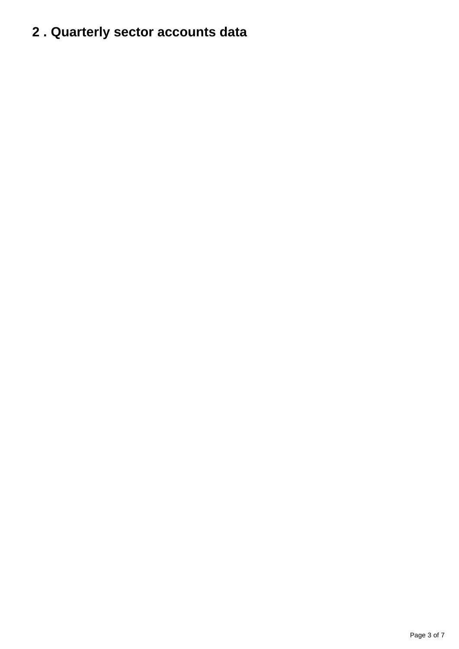# <span id="page-2-0"></span>**2 . Quarterly sector accounts data**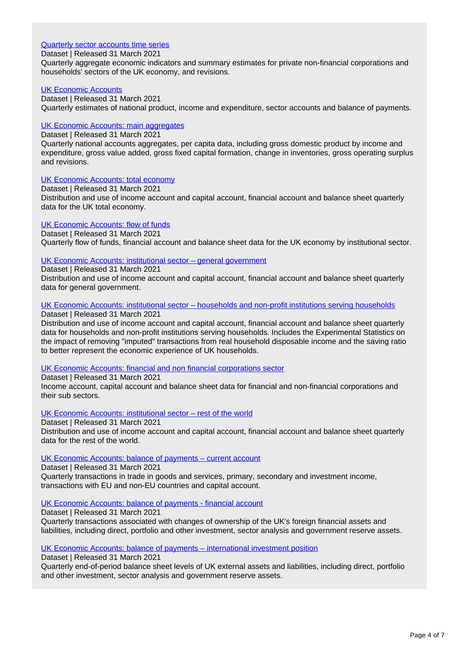### [Quarterly sector accounts time series](https://www.ons.gov.uk/economy/nationalaccounts/uksectoraccounts/datasets/quarterlysectoraccounts)

Dataset | Released 31 March 2021

Quarterly aggregate economic indicators and summary estimates for private non-financial corporations and households' sectors of the UK economy, and revisions.

### [UK Economic Accounts](https://www.ons.gov.uk/economy/grossdomesticproductgdp/datasets/unitedkingdomeconomicaccounts)

Dataset | Released 31 March 2021 Quarterly estimates of national product, income and expenditure, sector accounts and balance of payments.

### [UK Economic Accounts: main aggregates](https://www.ons.gov.uk/economy/nationalaccounts/uksectoraccounts/datasets/unitedkingdomeconomicaccountsmainaggregates)

Dataset | Released 31 March 2021

Quarterly national accounts aggregates, per capita data, including gross domestic product by income and expenditure, gross value added, gross fixed capital formation, change in inventories, gross operating surplus and revisions.

### [UK Economic Accounts: total economy](https://www.ons.gov.uk/economy/nationalaccounts/uksectoraccounts/datasets/unitedkingdomeconomicaccountsuktotaleconomy)

Dataset | Released 31 March 2021 Distribution and use of income account and capital account, financial account and balance sheet quarterly data for the UK total economy.

### [UK Economic Accounts: flow of funds](https://www.ons.gov.uk/economy/nationalaccounts/uksectoraccounts/datasets/unitedkingdomeconomicaccountsflowoffunds)

Dataset | Released 31 March 2021 Quarterly flow of funds, financial account and balance sheet data for the UK economy by institutional sector.

### [UK Economic Accounts: institutional sector – general government](https://www.ons.gov.uk/economy/nationalaccounts/uksectoraccounts/datasets/unitedkingdomeconomicaccountssectorgeneralgovernment)

Dataset | Released 31 March 2021

Distribution and use of income account and capital account, financial account and balance sheet quarterly data for general government.

### [UK Economic Accounts: institutional sector – households and non-profit institutions serving households](https://www.ons.gov.uk/economy/nationalaccounts/uksectoraccounts/datasets/unitedkingdomeconomicaccountssectorhouseholdsandnonprofitinstitutionsservinghouseholds)

Dataset | Released 31 March 2021

Distribution and use of income account and capital account, financial account and balance sheet quarterly data for households and non-profit institutions serving households. Includes the Experimental Statistics on the impact of removing "imputed" transactions from real household disposable income and the saving ratio to better represent the economic experience of UK households.

#### [UK Economic Accounts: financial and non financial corporations sector](https://www.ons.gov.uk/economy/nationalaccounts/uksectoraccounts/datasets/ukeconomicaccountsfinancialandnonfinancialcorporationssector)

Dataset | Released 31 March 2021

Income account, capital account and balance sheet data for financial and non-financial corporations and their sub sectors.

#### [UK Economic Accounts: institutional sector – rest of the world](https://www.ons.gov.uk/economy/nationalaccounts/uksectoraccounts/datasets/unitedkingdomeconomicaccountssectorrestoftheworld)

Dataset | Released 31 March 2021

Distribution and use of income account and capital account, financial account and balance sheet quarterly data for the rest of the world.

#### [UK Economic Accounts: balance of payments – current account](https://www.ons.gov.uk/economy/nationalaccounts/uksectoraccounts/datasets/unitedkingdomeconomicaccountsbalanceofpaymentscurrentaccount)

Dataset | Released 31 March 2021

Quarterly transactions in trade in goods and services, primary, secondary and investment income, transactions with EU and non-EU countries and capital account.

#### [UK Economic Accounts: balance of payments - financial account](https://www.ons.gov.uk/economy/nationalaccounts/uksectoraccounts/datasets/unitedkingdomeconomicaccountsbalanceofpaymentsfinancialaccount)

Dataset | Released 31 March 2021 Quarterly transactions associated with changes of ownership of the UK's foreign financial assets and liabilities, including direct, portfolio and other investment, sector analysis and government reserve assets.

#### [UK Economic Accounts: balance of payments – international investment position](https://www.ons.gov.uk/economy/nationalaccounts/uksectoraccounts/datasets/unitedkingdomeconomicaccountsbalanceofpaymentsinternationalinvestment)

Dataset | Released 31 March 2021

Quarterly end-of-period balance sheet levels of UK external assets and liabilities, including direct, portfolio and other investment, sector analysis and government reserve assets.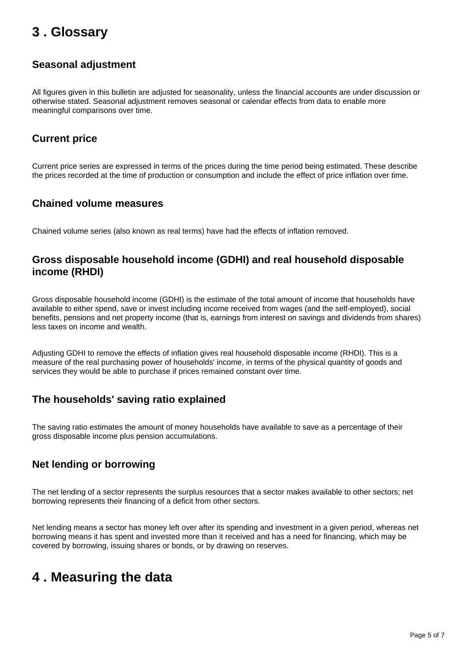## <span id="page-4-0"></span>**3 . Glossary**

### **Seasonal adjustment**

All figures given in this bulletin are adjusted for seasonality, unless the financial accounts are under discussion or otherwise stated. Seasonal adjustment removes seasonal or calendar effects from data to enable more meaningful comparisons over time.

### **Current price**

Current price series are expressed in terms of the prices during the time period being estimated. These describe the prices recorded at the time of production or consumption and include the effect of price inflation over time.

### **Chained volume measures**

Chained volume series (also known as real terms) have had the effects of inflation removed.

### **Gross disposable household income (GDHI) and real household disposable income (RHDI)**

Gross disposable household income (GDHI) is the estimate of the total amount of income that households have available to either spend, save or invest including income received from wages (and the self-employed), social benefits, pensions and net property income (that is, earnings from interest on savings and dividends from shares) less taxes on income and wealth.

Adjusting GDHI to remove the effects of inflation gives real household disposable income (RHDI). This is a measure of the real purchasing power of households' income, in terms of the physical quantity of goods and services they would be able to purchase if prices remained constant over time.

### **The households' saving ratio explained**

The saving ratio estimates the amount of money households have available to save as a percentage of their gross disposable income plus pension accumulations.

### **Net lending or borrowing**

The net lending of a sector represents the surplus resources that a sector makes available to other sectors; net borrowing represents their financing of a deficit from other sectors.

Net lending means a sector has money left over after its spending and investment in a given period, whereas net borrowing means it has spent and invested more than it received and has a need for financing, which may be covered by borrowing, issuing shares or bonds, or by drawing on reserves.

## <span id="page-4-1"></span>**4 . Measuring the data**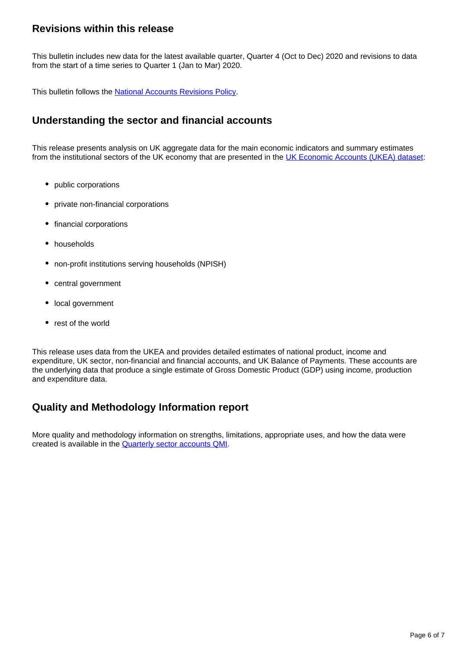### **Revisions within this release**

This bulletin includes new data for the latest available quarter, Quarter 4 (Oct to Dec) 2020 and revisions to data from the start of a time series to Quarter 1 (Jan to Mar) 2020.

This bulletin follows the [National Accounts Revisions Policy](https://www.ons.gov.uk/methodology/methodologytopicsandstatisticalconcepts/revisions/revisionspoliciesforeconomicstatistics/nationalaccountsrevisionspolicyupdateddecember2017).

### **Understanding the sector and financial accounts**

This release presents analysis on UK aggregate data for the main economic indicators and summary estimates from the institutional sectors of the UK economy that are presented in the [UK Economic Accounts \(UKEA\) dataset](https://www.ons.gov.uk/economy/grossdomesticproductgdp/datasets/unitedkingdomeconomicaccounts):

- public corporations
- private non-financial corporations
- financial corporations
- households
- non-profit institutions serving households (NPISH)
- central government
- local government
- rest of the world

This release uses data from the UKEA and provides detailed estimates of national product, income and expenditure, UK sector, non-financial and financial accounts, and UK Balance of Payments. These accounts are the underlying data that produce a single estimate of Gross Domestic Product (GDP) using income, production and expenditure data.

### **Quality and Methodology Information report**

More quality and methodology information on strengths, limitations, appropriate uses, and how the data were created is available in the [Quarterly sector accounts QMI](https://www.ons.gov.uk/economy/nationalaccounts/uksectoraccounts/methodologies/quarterlysectoraccountsqmi).